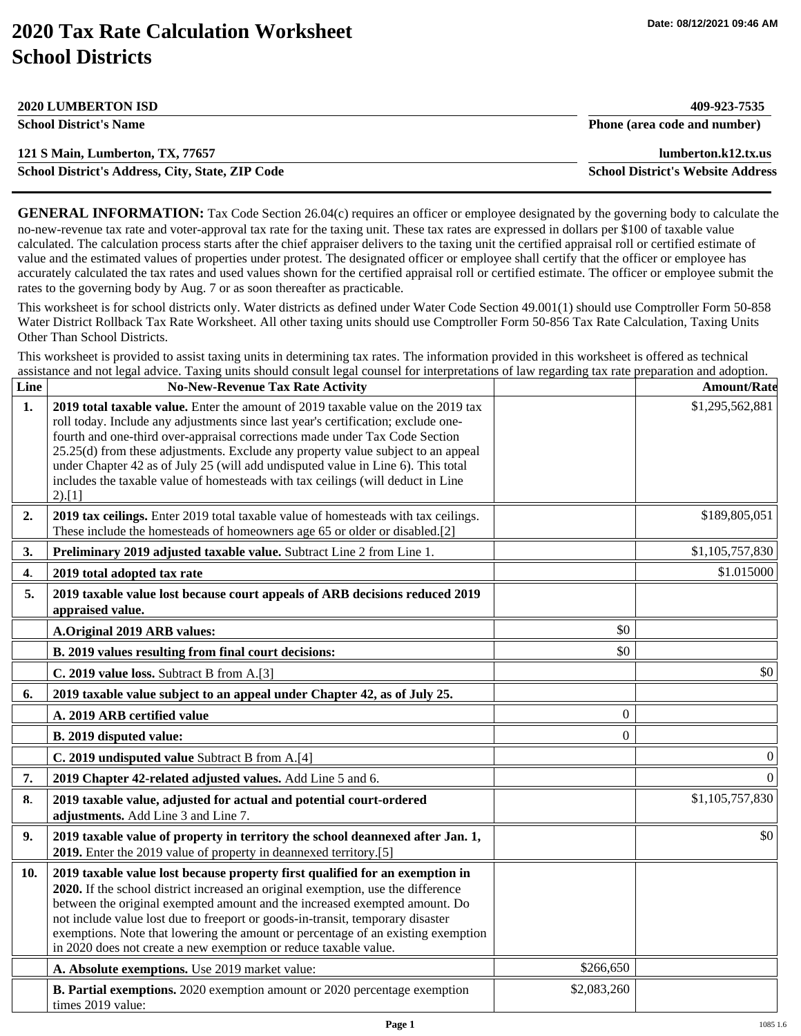## **2020 Tax Rate Calculation Worksheet School Districts**

| <b>2020 LUMBERTON ISD</b>                               | 409-923-7535                             |
|---------------------------------------------------------|------------------------------------------|
| <b>School District's Name</b>                           | Phone (area code and number)             |
| 121 S Main, Lumberton, TX, 77657                        | lumberton.k12.tx.us                      |
| <b>School District's Address, City, State, ZIP Code</b> | <b>School District's Website Address</b> |

**GENERAL INFORMATION:** Tax Code Section 26.04(c) requires an officer or employee designated by the governing body to calculate the no-new-revenue tax rate and voter-approval tax rate for the taxing unit. These tax rates are expressed in dollars per \$100 of taxable value calculated. The calculation process starts after the chief appraiser delivers to the taxing unit the certified appraisal roll or certified estimate of value and the estimated values of properties under protest. The designated officer or employee shall certify that the officer or employee has accurately calculated the tax rates and used values shown for the certified appraisal roll or certified estimate. The officer or employee submit the rates to the governing body by Aug. 7 or as soon thereafter as practicable.

This worksheet is for school districts only. Water districts as defined under Water Code Section 49.001(1) should use Comptroller Form 50-858 Water District Rollback Tax Rate Worksheet. All other taxing units should use Comptroller Form 50-856 Tax Rate Calculation, Taxing Units Other Than School Districts.

This worksheet is provided to assist taxing units in determining tax rates. The information provided in this worksheet is offered as technical assistance and not legal advice. Taxing units should consult legal counsel for interpretations of law regarding tax rate preparation and adoption.

| Line           | <b>No-New-Revenue Tax Rate Activity</b>                                                                                                                                                                                                                                                                                                                                                                                                                                                                                   |             | <b>Amount/Rate</b> |
|----------------|---------------------------------------------------------------------------------------------------------------------------------------------------------------------------------------------------------------------------------------------------------------------------------------------------------------------------------------------------------------------------------------------------------------------------------------------------------------------------------------------------------------------------|-------------|--------------------|
| 1 <sub>1</sub> | 2019 total taxable value. Enter the amount of 2019 taxable value on the 2019 tax<br>roll today. Include any adjustments since last year's certification; exclude one-<br>fourth and one-third over-appraisal corrections made under Tax Code Section<br>25.25(d) from these adjustments. Exclude any property value subject to an appeal<br>under Chapter 42 as of July 25 (will add undisputed value in Line 6). This total<br>includes the taxable value of homesteads with tax ceilings (will deduct in Line<br>2).[1] |             | \$1,295,562,881    |
| 2.             | 2019 tax ceilings. Enter 2019 total taxable value of homesteads with tax ceilings.<br>These include the homesteads of homeowners age 65 or older or disabled.[2]                                                                                                                                                                                                                                                                                                                                                          |             | \$189,805,051      |
| 3.             | Preliminary 2019 adjusted taxable value. Subtract Line 2 from Line 1.                                                                                                                                                                                                                                                                                                                                                                                                                                                     |             | \$1,105,757,830    |
| 4.             | 2019 total adopted tax rate                                                                                                                                                                                                                                                                                                                                                                                                                                                                                               |             | \$1.015000         |
| 5.             | 2019 taxable value lost because court appeals of ARB decisions reduced 2019<br>appraised value.                                                                                                                                                                                                                                                                                                                                                                                                                           |             |                    |
|                | A.Original 2019 ARB values:                                                                                                                                                                                                                                                                                                                                                                                                                                                                                               | \$0         |                    |
|                | B. 2019 values resulting from final court decisions:                                                                                                                                                                                                                                                                                                                                                                                                                                                                      | \$0         |                    |
|                | C. 2019 value loss. Subtract B from A.[3]                                                                                                                                                                                                                                                                                                                                                                                                                                                                                 |             | \$0                |
| 6.             | 2019 taxable value subject to an appeal under Chapter 42, as of July 25.                                                                                                                                                                                                                                                                                                                                                                                                                                                  |             |                    |
|                | A. 2019 ARB certified value                                                                                                                                                                                                                                                                                                                                                                                                                                                                                               | $\theta$    |                    |
|                | B. 2019 disputed value:                                                                                                                                                                                                                                                                                                                                                                                                                                                                                                   | $\theta$    |                    |
|                | C. 2019 undisputed value Subtract B from A.[4]                                                                                                                                                                                                                                                                                                                                                                                                                                                                            |             | $\theta$           |
| 7.             | 2019 Chapter 42-related adjusted values. Add Line 5 and 6.                                                                                                                                                                                                                                                                                                                                                                                                                                                                |             | $\Omega$           |
| 8.             | 2019 taxable value, adjusted for actual and potential court-ordered<br>adjustments. Add Line 3 and Line 7.                                                                                                                                                                                                                                                                                                                                                                                                                |             | \$1,105,757,830    |
| 9.             | 2019 taxable value of property in territory the school deannexed after Jan. 1,<br>2019. Enter the 2019 value of property in deannexed territory.[5]                                                                                                                                                                                                                                                                                                                                                                       |             | \$0                |
| 10.            | 2019 taxable value lost because property first qualified for an exemption in<br>2020. If the school district increased an original exemption, use the difference<br>between the original exempted amount and the increased exempted amount. Do<br>not include value lost due to freeport or goods-in-transit, temporary disaster<br>exemptions. Note that lowering the amount or percentage of an existing exemption<br>in 2020 does not create a new exemption or reduce taxable value.                                  |             |                    |
|                | A. Absolute exemptions. Use 2019 market value:                                                                                                                                                                                                                                                                                                                                                                                                                                                                            | \$266,650   |                    |
|                | B. Partial exemptions. 2020 exemption amount or 2020 percentage exemption<br>times 2019 value:                                                                                                                                                                                                                                                                                                                                                                                                                            | \$2,083,260 |                    |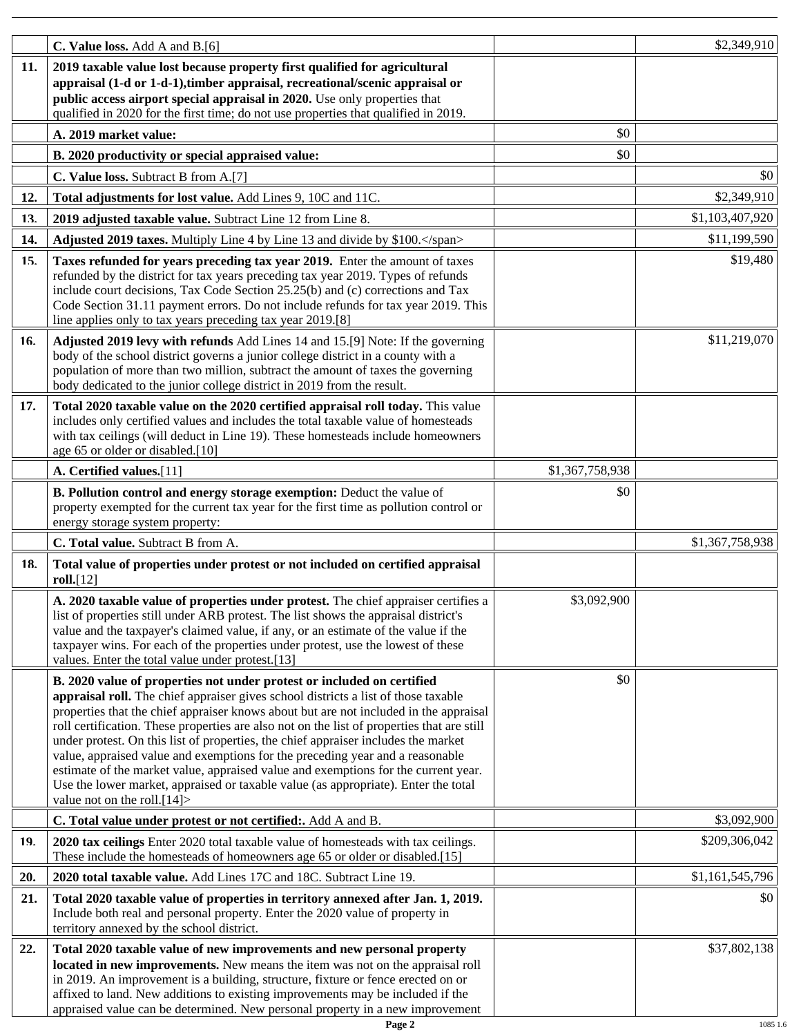|     | C. Value loss. Add A and B.[6]                                                                                                                                                   |                 | \$2,349,910     |
|-----|----------------------------------------------------------------------------------------------------------------------------------------------------------------------------------|-----------------|-----------------|
| 11. | 2019 taxable value lost because property first qualified for agricultural<br>appraisal (1-d or 1-d-1), timber appraisal, recreational/scenic appraisal or                        |                 |                 |
|     | public access airport special appraisal in 2020. Use only properties that                                                                                                        |                 |                 |
|     | qualified in 2020 for the first time; do not use properties that qualified in 2019.                                                                                              |                 |                 |
|     | A. 2019 market value:                                                                                                                                                            | \$0             |                 |
|     | B. 2020 productivity or special appraised value:                                                                                                                                 | \$0             |                 |
|     | C. Value loss. Subtract B from A.[7]                                                                                                                                             |                 | \$0             |
| 12. | Total adjustments for lost value. Add Lines 9, 10C and 11C.                                                                                                                      |                 | \$2,349,910     |
| 13. | 2019 adjusted taxable value. Subtract Line 12 from Line 8.                                                                                                                       |                 | \$1,103,407,920 |
| 14. | Adjusted 2019 taxes. Multiply Line 4 by Line 13 and divide by \$100.                                                                                                             |                 | \$11,199,590    |
| 15. |                                                                                                                                                                                  |                 | \$19,480        |
|     | Taxes refunded for years preceding tax year 2019. Enter the amount of taxes<br>refunded by the district for tax years preceding tax year 2019. Types of refunds                  |                 |                 |
|     | include court decisions, Tax Code Section 25.25(b) and (c) corrections and Tax                                                                                                   |                 |                 |
|     | Code Section 31.11 payment errors. Do not include refunds for tax year 2019. This                                                                                                |                 |                 |
|     | line applies only to tax years preceding tax year 2019.[8]                                                                                                                       |                 |                 |
| 16. | Adjusted 2019 levy with refunds Add Lines 14 and 15.[9] Note: If the governing<br>body of the school district governs a junior college district in a county with a               |                 | \$11,219,070    |
|     | population of more than two million, subtract the amount of taxes the governing                                                                                                  |                 |                 |
|     | body dedicated to the junior college district in 2019 from the result.                                                                                                           |                 |                 |
| 17. | Total 2020 taxable value on the 2020 certified appraisal roll today. This value                                                                                                  |                 |                 |
|     | includes only certified values and includes the total taxable value of homesteads                                                                                                |                 |                 |
|     | with tax ceilings (will deduct in Line 19). These homesteads include homeowners<br>age 65 or older or disabled.[10]                                                              |                 |                 |
|     | A. Certified values.[11]                                                                                                                                                         | \$1,367,758,938 |                 |
|     | B. Pollution control and energy storage exemption: Deduct the value of                                                                                                           | \$0             |                 |
|     | property exempted for the current tax year for the first time as pollution control or                                                                                            |                 |                 |
|     | energy storage system property:                                                                                                                                                  |                 |                 |
|     | C. Total value. Subtract B from A.                                                                                                                                               |                 | \$1,367,758,938 |
| 18. | Total value of properties under protest or not included on certified appraisal<br>roll.[12]                                                                                      |                 |                 |
|     | A. 2020 taxable value of properties under protest. The chief appraiser certifies a                                                                                               | \$3,092,900     |                 |
|     | list of properties still under ARB protest. The list shows the appraisal district's                                                                                              |                 |                 |
|     | value and the taxpayer's claimed value, if any, or an estimate of the value if the<br>taxpayer wins. For each of the properties under protest, use the lowest of these           |                 |                 |
|     | values. Enter the total value under protest.[13]                                                                                                                                 |                 |                 |
|     | B. 2020 value of properties not under protest or included on certified                                                                                                           | \$0             |                 |
|     | appraisal roll. The chief appraiser gives school districts a list of those taxable                                                                                               |                 |                 |
|     | properties that the chief appraiser knows about but are not included in the appraisal                                                                                            |                 |                 |
|     | roll certification. These properties are also not on the list of properties that are still<br>under protest. On this list of properties, the chief appraiser includes the market |                 |                 |
|     | value, appraised value and exemptions for the preceding year and a reasonable                                                                                                    |                 |                 |
|     | estimate of the market value, appraised value and exemptions for the current year.                                                                                               |                 |                 |
|     | Use the lower market, appraised or taxable value (as appropriate). Enter the total<br>value not on the roll. $[14]$                                                              |                 |                 |
|     | C. Total value under protest or not certified:. Add A and B.                                                                                                                     |                 | \$3,092,900     |
| 19. | 2020 tax ceilings Enter 2020 total taxable value of homesteads with tax ceilings.                                                                                                |                 | \$209,306,042   |
|     | These include the homesteads of homeowners age 65 or older or disabled.[15]                                                                                                      |                 |                 |
| 20. | 2020 total taxable value. Add Lines 17C and 18C. Subtract Line 19.                                                                                                               |                 | \$1,161,545,796 |
| 21. | Total 2020 taxable value of properties in territory annexed after Jan. 1, 2019.                                                                                                  |                 | \$0             |
|     | Include both real and personal property. Enter the 2020 value of property in<br>territory annexed by the school district.                                                        |                 |                 |
| 22. | Total 2020 taxable value of new improvements and new personal property                                                                                                           |                 | \$37,802,138    |
|     | located in new improvements. New means the item was not on the appraisal roll                                                                                                    |                 |                 |
|     | in 2019. An improvement is a building, structure, fixture or fence erected on or<br>affixed to land. New additions to existing improvements may be included if the               |                 |                 |
|     | appraised value can be determined. New personal property in a new improvement                                                                                                    |                 |                 |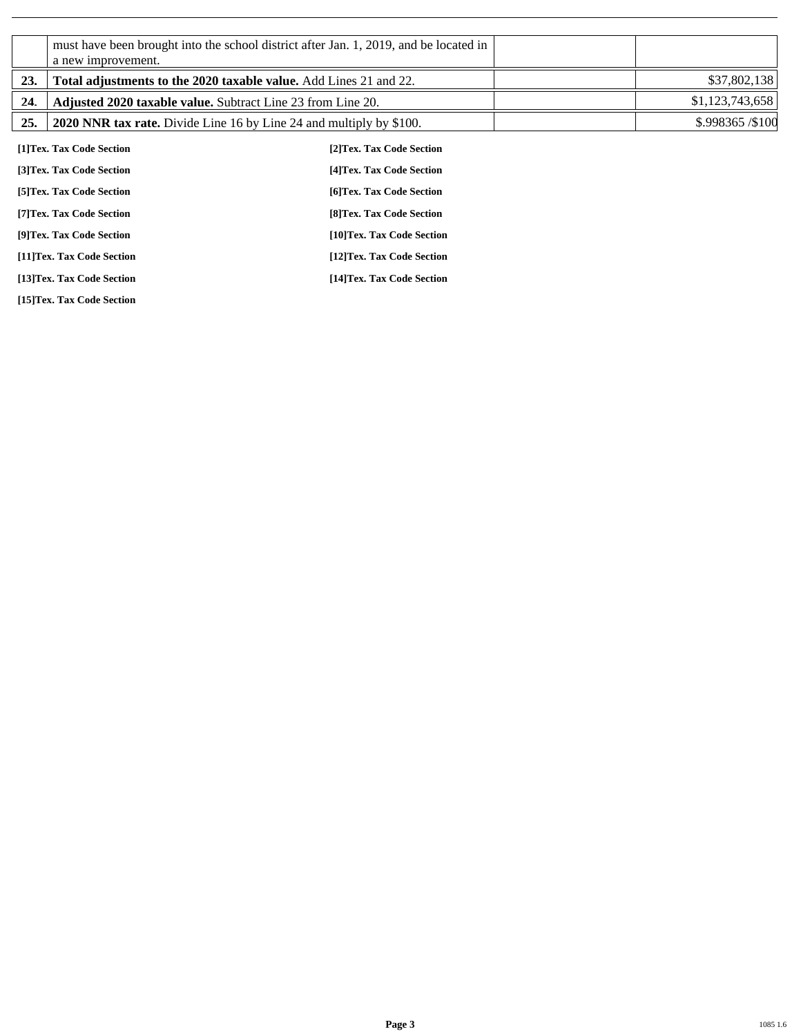|     | a new improvement.                                                  | must have been brought into the school district after Jan. 1, 2019, and be located in |                 |
|-----|---------------------------------------------------------------------|---------------------------------------------------------------------------------------|-----------------|
| 23. | Total adjustments to the 2020 taxable value. Add Lines 21 and 22.   |                                                                                       | \$37,802,138    |
| 24. | <b>Adjusted 2020 taxable value.</b> Subtract Line 23 from Line 20.  |                                                                                       | \$1,123,743,658 |
| 25. | 2020 NNR tax rate. Divide Line 16 by Line 24 and multiply by \$100. |                                                                                       | \$.998365/\$100 |
|     | [1]Tex. Tax Code Section                                            | [2] Tex. Tax Code Section                                                             |                 |
|     | [3] Tex. Tax Code Section                                           | [4] Tex. Tax Code Section                                                             |                 |
|     | [5] Tex. Tax Code Section                                           | [6] Tex. Tax Code Section                                                             |                 |
|     | [7] Tex. Tax Code Section                                           | [8] Tex. Tax Code Section                                                             |                 |
|     | [9]Tex. Tax Code Section                                            | [10]Tex. Tax Code Section                                                             |                 |
|     | [11]Tex. Tax Code Section                                           | [12]Tex. Tax Code Section                                                             |                 |
|     | [13]Tex. Tax Code Section                                           | [14]Tex. Tax Code Section                                                             |                 |

**[15]Tex. Tax Code Section**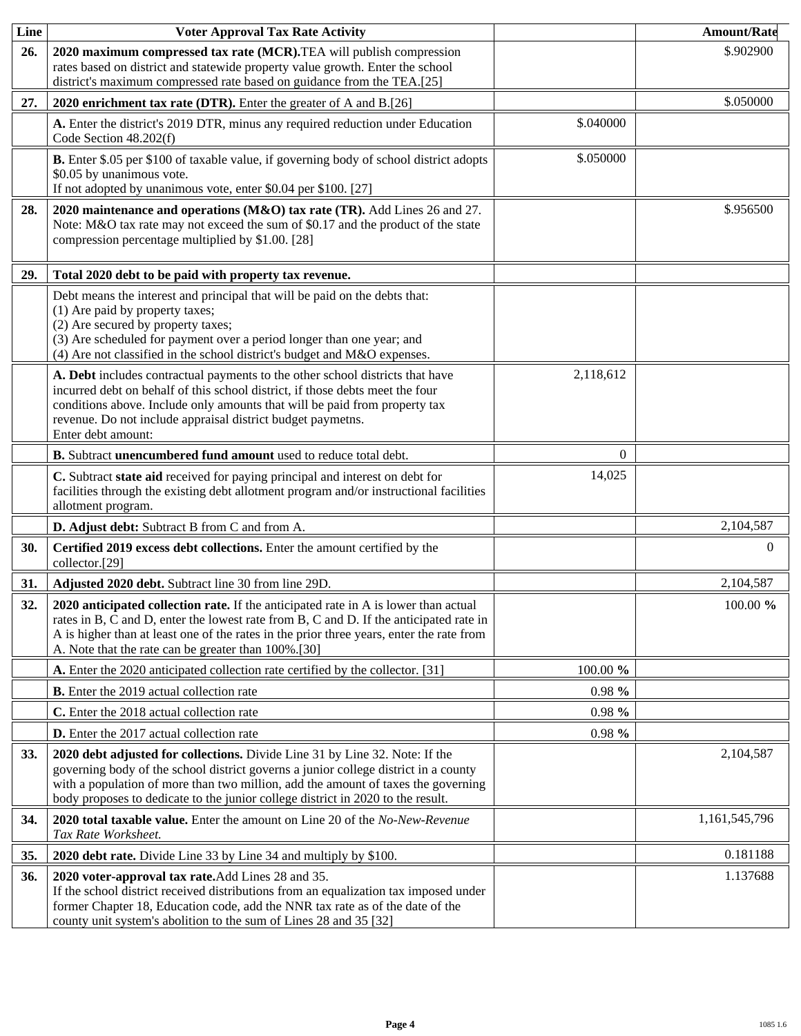| Line       | <b>Voter Approval Tax Rate Activity</b>                                                                                                                                                                                                                                                                                                    |           | <b>Amount/Rate</b> |
|------------|--------------------------------------------------------------------------------------------------------------------------------------------------------------------------------------------------------------------------------------------------------------------------------------------------------------------------------------------|-----------|--------------------|
| 26.        | 2020 maximum compressed tax rate (MCR). TEA will publish compression<br>rates based on district and statewide property value growth. Enter the school<br>district's maximum compressed rate based on guidance from the TEA.[25]                                                                                                            |           | \$.902900          |
| 27.        | 2020 enrichment tax rate (DTR). Enter the greater of A and B.[26]                                                                                                                                                                                                                                                                          |           | \$.050000          |
|            | A. Enter the district's 2019 DTR, minus any required reduction under Education<br>Code Section 48.202(f)                                                                                                                                                                                                                                   | \$.040000 |                    |
|            | B. Enter \$.05 per \$100 of taxable value, if governing body of school district adopts<br>\$0.05 by unanimous vote.<br>If not adopted by unanimous vote, enter \$0.04 per \$100. [27]                                                                                                                                                      | \$.050000 |                    |
| 28.        | 2020 maintenance and operations (M&O) tax rate (TR). Add Lines 26 and 27.<br>Note: M&O tax rate may not exceed the sum of \$0.17 and the product of the state<br>compression percentage multiplied by \$1.00. [28]                                                                                                                         |           | \$.956500          |
| 29.        | Total 2020 debt to be paid with property tax revenue.                                                                                                                                                                                                                                                                                      |           |                    |
|            | Debt means the interest and principal that will be paid on the debts that:<br>(1) Are paid by property taxes;<br>(2) Are secured by property taxes;<br>(3) Are scheduled for payment over a period longer than one year; and<br>(4) Are not classified in the school district's budget and M&O expenses.                                   |           |                    |
|            | A. Debt includes contractual payments to the other school districts that have<br>incurred debt on behalf of this school district, if those debts meet the four<br>conditions above. Include only amounts that will be paid from property tax<br>revenue. Do not include appraisal district budget paymetns.<br>Enter debt amount:          | 2,118,612 |                    |
|            | B. Subtract unencumbered fund amount used to reduce total debt.                                                                                                                                                                                                                                                                            | $\Omega$  |                    |
|            | C. Subtract state aid received for paying principal and interest on debt for<br>facilities through the existing debt allotment program and/or instructional facilities<br>allotment program.                                                                                                                                               | 14,025    |                    |
|            | D. Adjust debt: Subtract B from C and from A.                                                                                                                                                                                                                                                                                              |           | 2,104,587          |
| 30.        | Certified 2019 excess debt collections. Enter the amount certified by the<br>collector.[29]                                                                                                                                                                                                                                                |           | $\Omega$           |
| 31.        | Adjusted 2020 debt. Subtract line 30 from line 29D.                                                                                                                                                                                                                                                                                        |           | 2,104,587          |
| 32.        | 2020 anticipated collection rate. If the anticipated rate in A is lower than actual<br>rates in B, C and D, enter the lowest rate from B, C and D. If the anticipated rate in<br>A is higher than at least one of the rates in the prior three years, enter the rate from<br>A. Note that the rate can be greater than 100%.[30]           |           | 100.00 %           |
|            | A. Enter the 2020 anticipated collection rate certified by the collector. [31]                                                                                                                                                                                                                                                             | 100.00 %  |                    |
|            | <b>B.</b> Enter the 2019 actual collection rate                                                                                                                                                                                                                                                                                            | $0.98 \%$ |                    |
|            | C. Enter the 2018 actual collection rate                                                                                                                                                                                                                                                                                                   | $0.98 \%$ |                    |
|            | <b>D.</b> Enter the 2017 actual collection rate                                                                                                                                                                                                                                                                                            | $0.98 \%$ |                    |
| <b>33.</b> | 2020 debt adjusted for collections. Divide Line 31 by Line 32. Note: If the<br>governing body of the school district governs a junior college district in a county<br>with a population of more than two million, add the amount of taxes the governing<br>body proposes to dedicate to the junior college district in 2020 to the result. |           | 2,104,587          |
| 34.        | 2020 total taxable value. Enter the amount on Line 20 of the No-New-Revenue<br>Tax Rate Worksheet.                                                                                                                                                                                                                                         |           | 1,161,545,796      |
| 35.        | 2020 debt rate. Divide Line 33 by Line 34 and multiply by \$100.                                                                                                                                                                                                                                                                           |           | 0.181188           |
| 36.        | 2020 voter-approval tax rate. Add Lines 28 and 35.<br>If the school district received distributions from an equalization tax imposed under<br>former Chapter 18, Education code, add the NNR tax rate as of the date of the<br>county unit system's abolition to the sum of Lines 28 and 35 [32]                                           |           | 1.137688           |